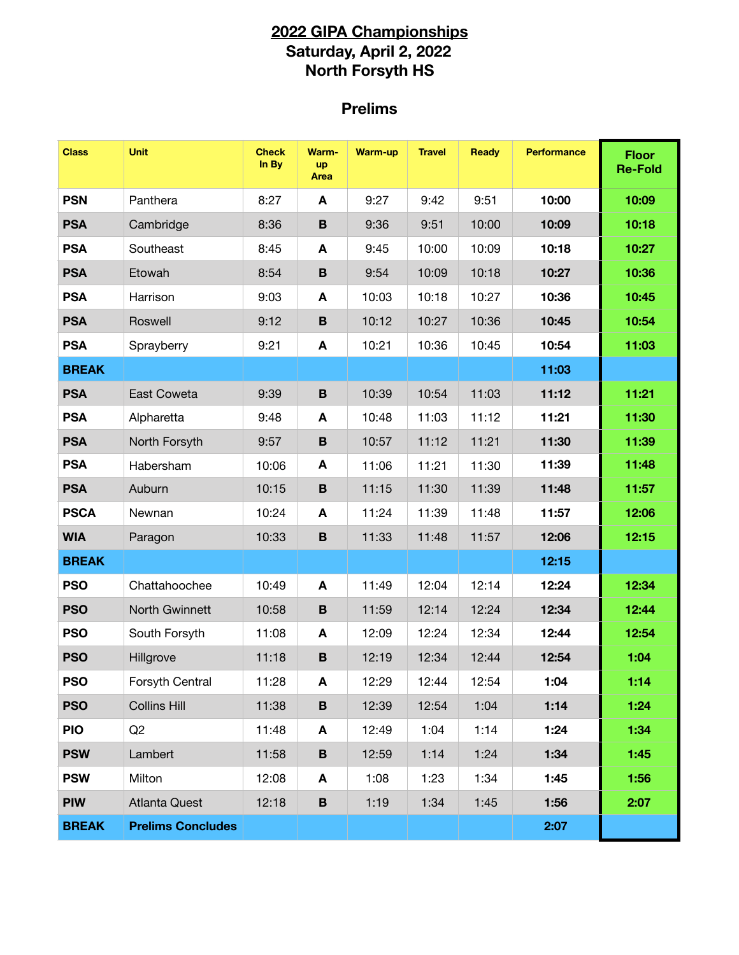## **2022 GIPA Championships Saturday, April 2, 2022 North Forsyth HS**

## **Prelims**

| <b>Class</b> | <b>Unit</b>              | <b>Check</b><br>In By | Warm-<br><b>up</b><br>Area | <b>Warm-up</b> | <b>Travel</b> | Ready | <b>Performance</b> | <b>Floor</b><br><b>Re-Fold</b> |
|--------------|--------------------------|-----------------------|----------------------------|----------------|---------------|-------|--------------------|--------------------------------|
| <b>PSN</b>   | Panthera                 | 8:27                  | A                          | 9:27           | 9:42          | 9:51  | 10:00              | 10:09                          |
| <b>PSA</b>   | Cambridge                | 8:36                  | $\, {\bf B}$               | 9:36           | 9:51          | 10:00 | 10:09              | 10:18                          |
| <b>PSA</b>   | Southeast                | 8:45                  | Α                          | 9:45           | 10:00         | 10:09 | 10:18              | 10:27                          |
| <b>PSA</b>   | Etowah                   | 8:54                  | $\, {\bf B}$               | 9:54           | 10:09         | 10:18 | 10:27              | 10:36                          |
| <b>PSA</b>   | Harrison                 | 9:03                  | A                          | 10:03          | 10:18         | 10:27 | 10:36              | 10:45                          |
| <b>PSA</b>   | Roswell                  | 9:12                  | $\, {\bf B}$               | 10:12          | 10:27         | 10:36 | 10:45              | 10:54                          |
| <b>PSA</b>   | Sprayberry               | 9:21                  | A                          | 10:21          | 10:36         | 10:45 | 10:54              | 11:03                          |
| <b>BREAK</b> |                          |                       |                            |                |               |       | 11:03              |                                |
| <b>PSA</b>   | East Coweta              | 9:39                  | $\, {\bf B}$               | 10:39          | 10:54         | 11:03 | 11:12              | 11:21                          |
| <b>PSA</b>   | Alpharetta               | 9:48                  | A                          | 10:48          | 11:03         | 11:12 | 11:21              | 11:30                          |
| <b>PSA</b>   | North Forsyth            | 9:57                  | $\, {\bf B}$               | 10:57          | 11:12         | 11:21 | 11:30              | 11:39                          |
| <b>PSA</b>   | Habersham                | 10:06                 | A                          | 11:06          | 11:21         | 11:30 | 11:39              | 11:48                          |
| <b>PSA</b>   | Auburn                   | 10:15                 | $\mathbf B$                | 11:15          | 11:30         | 11:39 | 11:48              | 11:57                          |
| <b>PSCA</b>  | Newnan                   | 10:24                 | A                          | 11:24          | 11:39         | 11:48 | 11:57              | 12:06                          |
| <b>WIA</b>   | Paragon                  | 10:33                 | $\, {\bf B}$               | 11:33          | 11:48         | 11:57 | 12:06              | 12:15                          |
| <b>BREAK</b> |                          |                       |                            |                |               |       | 12:15              |                                |
| <b>PSO</b>   | Chattahoochee            | 10:49                 | A                          | 11:49          | 12:04         | 12:14 | 12:24              | 12:34                          |
| <b>PSO</b>   | North Gwinnett           | 10:58                 | $\, {\bf B}$               | 11:59          | 12:14         | 12:24 | 12:34              | 12:44                          |
| <b>PSO</b>   | South Forsyth            | 11:08                 | A                          | 12:09          | 12:24         | 12:34 | 12:44              | 12:54                          |
| <b>PSO</b>   | Hillgrove                | 11:18                 | $\, {\bf B}$               | 12:19          | 12:34         | 12:44 | 12:54              | 1:04                           |
| <b>PSO</b>   | Forsyth Central          | 11:28                 | A                          | 12:29          | 12:44         | 12:54 | 1:04               | 1:14                           |
| <b>PSO</b>   | <b>Collins Hill</b>      | 11:38                 | $\, {\bf B} \,$            | 12:39          | 12:54         | 1:04  | 1:14               | 1:24                           |
| <b>PIO</b>   | Q2                       | 11:48                 | A                          | 12:49          | 1:04          | 1:14  | 1:24               | 1:34                           |
| <b>PSW</b>   | Lambert                  | 11:58                 | B                          | 12:59          | 1:14          | 1:24  | 1:34               | 1:45                           |
| <b>PSW</b>   | Milton                   | 12:08                 | A                          | 1:08           | 1:23          | 1:34  | 1:45               | 1:56                           |
| <b>PIW</b>   | <b>Atlanta Quest</b>     | 12:18                 | B                          | 1:19           | 1:34          | 1:45  | 1:56               | 2:07                           |
| <b>BREAK</b> | <b>Prelims Concludes</b> |                       |                            |                |               |       | 2:07               |                                |